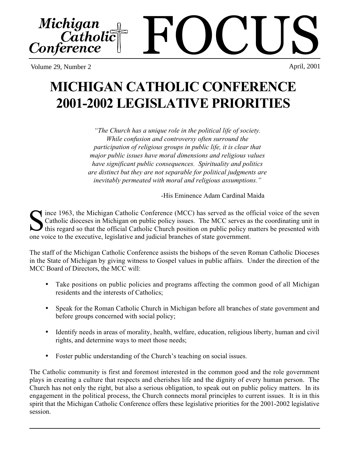Volume 29, Number 2

# **MICHIGAN CATHOLIC CONFERENCE 2001-2002 LEGISLATIVE PRIORITIES**

*"The Church has a unique role in the political life of society. While confusion and controversy often surround the participation of religious groups in public life, it is clear that major public issues have moral dimensions and religious values have significant public consequences. Spirituality and politics are distinct but they are not separable for political judgments are inevitably permeated with moral and religious assumptions."*

-His Eminence Adam Cardinal Maida

ince 1963, the Michigan Catholic Conference (MCC) has served as the official voice of the seven Catholic dioceses in Michigan on public policy issues. The MCC serves as the coordinating unit in this regard so that the official Catholic Church position on public policy matters be presented with Since 1963, the Michigan Catholic Conference (MCC) has served as the official voice of the seven Catholic dioceses in Michigan on public policy issues. The MCC serves as the coordinating unit in this regard so that the off

The staff of the Michigan Catholic Conference assists the bishops of the seven Roman Catholic Dioceses in the State of Michigan by giving witness to Gospel values in public affairs. Under the direction of the MCC Board of Directors, the MCC will:

- Take positions on public policies and programs affecting the common good of all Michigan residents and the interests of Catholics;
- Speak for the Roman Catholic Church in Michigan before all branches of state government and before groups concerned with social policy;
- Identify needs in areas of morality, health, welfare, education, religious liberty, human and civil rights, and determine ways to meet those needs;
- Foster public understanding of the Church's teaching on social issues.

The Catholic community is first and foremost interested in the common good and the role government plays in creating a culture that respects and cherishes life and the dignity of every human person. The Church has not only the right, but also a serious obligation, to speak out on public policy matters. In its engagement in the political process, the Church connects moral principles to current issues. It is in this spirit that the Michigan Catholic Conference offers these legislative priorities for the 2001-2002 legislative session.

FOCUS Michigan Catholic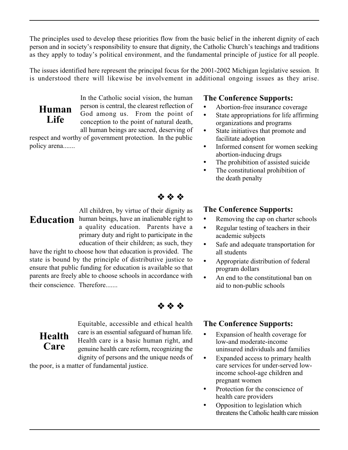The principles used to develop these priorities flow from the basic belief in the inherent dignity of each person and in society's responsibility to ensure that dignity, the Catholic Church's teachings and traditions as they apply to today's political environment, and the fundamental principle of justice for all people.

The issues identified here represent the principal focus for the 2001-2002 Michigan legislative session. It is understood there will likewise be involvement in additional ongoing issues as they arise.

**Human Life**

In the Catholic social vision, the human person is central, the clearest reflection of God among us. From the point of conception to the point of natural death, all human beings are sacred, deserving of

respect and worthy of government protection. In the public policy arena.......

#### **The Conference Supports:**

- Abortion-free insurance coverage
- State appropriations for life affirming organizations and programs
- State initiatives that promote and facilitate adoption
- Informed consent for women seeking abortion-inducing drugs
- The prohibition of assisted suicide
- The constitutional prohibition of the death penalty

※ ※ ※

**Health Care**

All children, by virtue of their dignity as **Education** human beings, have an inalienable right to a quality education. Parents have a primary duty and right to participate in the education of their children; as such, they

have the right to choose how that education is provided. The state is bound by the principle of distributive justice to ensure that public funding for education is available so that parents are freely able to choose schools in accordance with their conscience. Therefore.......

合会会

Equitable, accessible and ethical health care is an essential safeguard of human life. Health care is a basic human right, and genuine health care reform, recognizing the dignity of persons and the unique needs of

the poor, is a matter of fundamental justice.

#### **The Conference Supports:**

- Removing the cap on charter schools
- Regular testing of teachers in their academic subjects
- Safe and adequate transportation for all students
- Appropriate distribution of federal program dollars
- An end to the constitutional ban on aid to non-public schools

### **The Conference Supports:**

- Expansion of health coverage for low-and moderate-income uninsured individuals and families
- Expanded access to primary health care services for under-served lowincome school-age children and pregnant women
- Protection for the conscience of health care providers
- Opposition to legislation which threatens the Catholic health care mission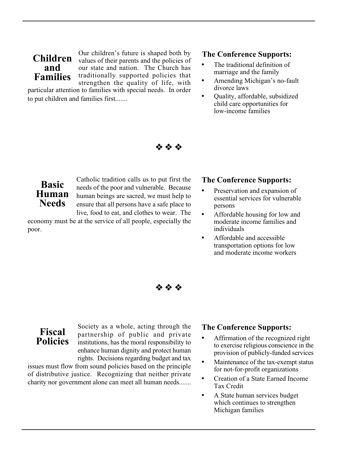## **Children and Families**

Our children's future is shaped both by values of their parents and the policies of our state and nation. The Church has traditionally supported policies that strengthen the quality of life, with

particular attention to families with special needs. In order to put children and families first.......

#### **The Conference Supports:**

- The traditional definition of marriage and the family
- Amending Michigan's no-fault divorce laws
- Quality, affordable, subsidized child care opportunities for low-income families

**Basic Human Needs**

Catholic tradition calls us to put first the needs of the poor and vulnerable. Because human beings are sacred, we must help to ensure that all persons have a safe place to live, food to eat, and clothes to wear. The

economy must be at the service of all people, especially the poor.

#### **The Conference Supports:**

- Preservation and expansion of essential services for vulnerable persons
- Affordable housing for low and moderate income families and individuals
- Affordable and accessible transportation options for low and moderate income workers

会会会

\* \* \*

**Fiscal Policies**

Society as a whole, acting through the partnership of public and private institutions, has the moral responsibility to enhance human dignity and protect human rights. Decisions regarding budget and tax

issues must flow from sound policies based on the principle of distributive justice. Recognizing that neither private charity nor government alone can meet all human needs.......

#### **The Conference Supports:**

- Affirmation of the recognized right to exercise religious conscience in the provision of publicly-funded services
- Maintenance of the tax-exempt status for not-for-profit organizations
- Creation of a State Earned Income Tax Credit
- A State human services budget which continues to strengthen Michigan families